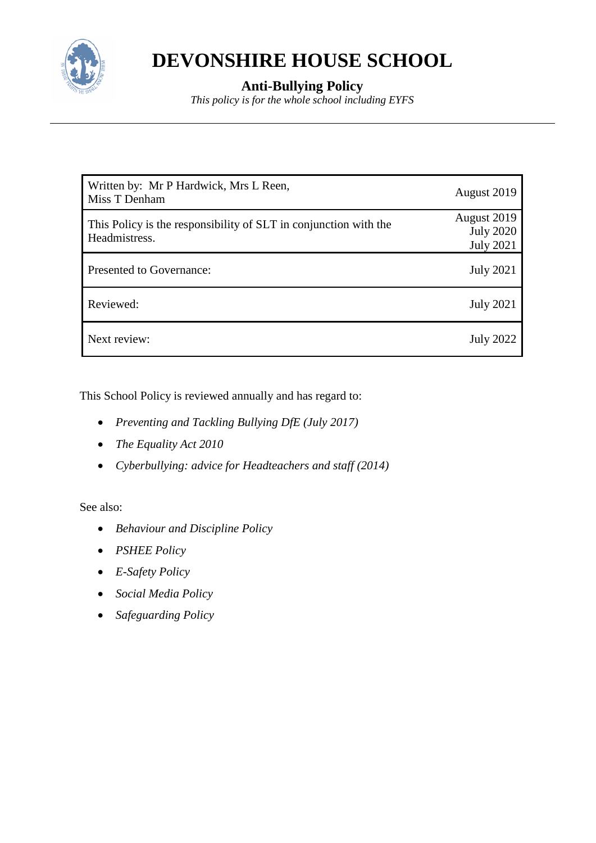

# **DEVONSHIRE HOUSE SCHOOL**

# **Anti-Bullying Policy**

*This policy is for the whole school including EYFS*

| Written by: Mr P Hardwick, Mrs L Reen,<br>Miss T Denham                           | August 2019                                         |
|-----------------------------------------------------------------------------------|-----------------------------------------------------|
| This Policy is the responsibility of SLT in conjunction with the<br>Headmistress. | August 2019<br><b>July 2020</b><br><b>July 2021</b> |
| Presented to Governance:                                                          | <b>July 2021</b>                                    |
| Reviewed:                                                                         | <b>July 2021</b>                                    |
| Next review:                                                                      | <b>July 2022</b>                                    |

This School Policy is reviewed annually and has regard to:

- *Preventing and Tackling Bullying DfE (July 2017)*
- *The Equality Act 2010*
- *Cyberbullying: advice for Headteachers and staff (2014)*

See also:

- *Behaviour and Discipline Policy*
- *PSHEE Policy*
- *E-Safety Policy*
- *Social Media Policy*
- *Safeguarding Policy*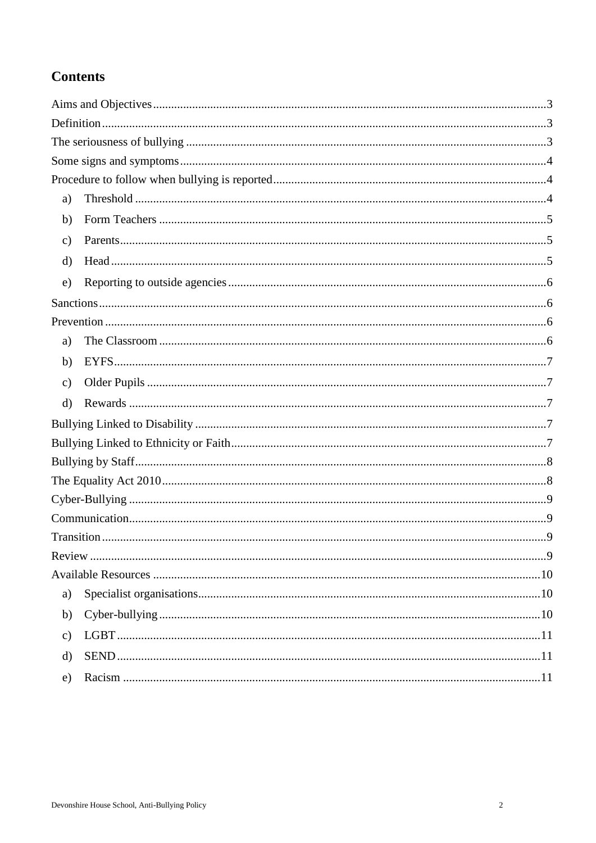# **Contents**

| a)            |  |
|---------------|--|
| b)            |  |
| $\mathbf{c})$ |  |
| d)            |  |
| e)            |  |
|               |  |
|               |  |
| a)            |  |
| b)            |  |
| $\mathbf{c})$ |  |
| $\rm d)$      |  |
|               |  |
|               |  |
|               |  |
|               |  |
|               |  |
|               |  |
|               |  |
|               |  |
|               |  |
| a)            |  |
| b)            |  |
| $\mathbf{c})$ |  |
| d)            |  |
| e)            |  |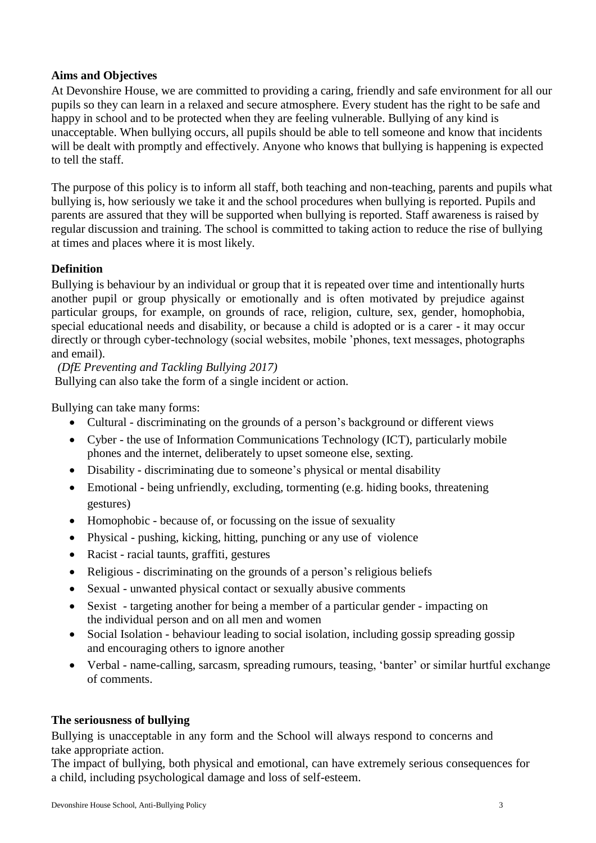#### <span id="page-2-0"></span>**Aims and Objectives**

At Devonshire House, we are committed to providing a caring, friendly and safe environment for all our pupils so they can learn in a relaxed and secure atmosphere. Every student has the right to be safe and happy in school and to be protected when they are feeling vulnerable. Bullying of any kind is unacceptable. When bullying occurs, all pupils should be able to tell someone and know that incidents will be dealt with promptly and effectively. Anyone who knows that bullying is happening is expected to tell the staff.

The purpose of this policy is to inform all staff, both teaching and non-teaching, parents and pupils what bullying is, how seriously we take it and the school procedures when bullying is reported. Pupils and parents are assured that they will be supported when bullying is reported. Staff awareness is raised by regular discussion and training. The school is committed to taking action to reduce the rise of bullying at times and places where it is most likely.

# <span id="page-2-1"></span>**Definition**

Bullying is behaviour by an individual or group that it is repeated over time and intentionally hurts another pupil or group physically or emotionally and is often motivated by prejudice against particular groups, for example, on grounds of race, religion, culture, sex, gender, homophobia, special educational needs and disability, or because a child is adopted or is a carer - it may occur directly or through cyber-technology (social websites, mobile 'phones, text messages, photographs and email).

*(DfE Preventing and Tackling Bullying 2017)* Bullying can also take the form of a single incident or action.

Bullying can take many forms:

- Cultural discriminating on the grounds of a person's background or different views
- Cyber the use of Information Communications Technology (ICT), particularly mobile phones and the internet, deliberately to upset someone else, sexting.
- Disability discriminating due to some one's physical or mental disability
- Emotional being unfriendly, excluding, tormenting (e.g. hiding books, threatening gestures)
- Homophobic because of, or focussing on the issue of sexuality
- Physical pushing, kicking, hitting, punching or any use of violence
- Racist racial taunts, graffiti, gestures
- Religious discriminating on the grounds of a person's religious beliefs
- Sexual unwanted physical contact or sexually abusive comments
- Sexist targeting another for being a member of a particular gender impacting on the individual person and on all men and women
- Social Isolation behaviour leading to social isolation, including gossip spreading gossip and encouraging others to ignore another
- Verbal name-calling, sarcasm, spreading rumours, teasing, 'banter' or similar hurtful exchange of comments.

#### <span id="page-2-2"></span>**The seriousness of bullying**

Bullying is unacceptable in any form and the School will always respond to concerns and take appropriate action.

The impact of bullying, both physical and emotional, can have extremely serious consequences for a child, including psychological damage and loss of self-esteem.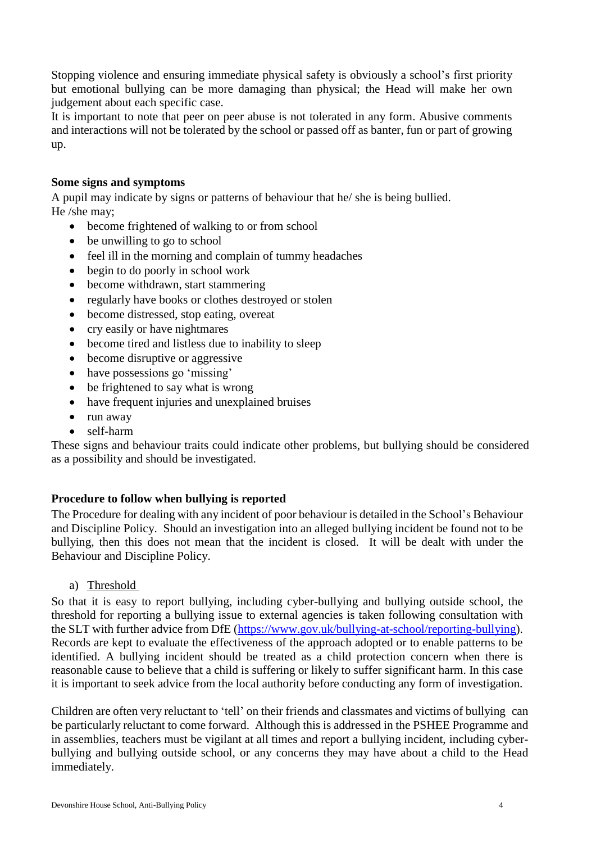Stopping violence and ensuring immediate physical safety is obviously a school's first priority but emotional bullying can be more damaging than physical; the Head will make her own judgement about each specific case.

It is important to note that peer on peer abuse is not tolerated in any form. Abusive comments and interactions will not be tolerated by the school or passed off as banter, fun or part of growing up.

#### <span id="page-3-0"></span>**Some signs and symptoms**

A pupil may indicate by signs or patterns of behaviour that he/ she is being bullied. He /she may;

- become frightened of walking to or from school
- be unwilling to go to school
- feel ill in the morning and complain of tummy headaches
- begin to do poorly in school work
- become withdrawn, start stammering
- regularly have books or clothes destroyed or stolen
- become distressed, stop eating, overeat
- cry easily or have nightmares
- become tired and listless due to inability to sleep
- become disruptive or aggressive
- have possessions go 'missing'
- be frightened to say what is wrong
- have frequent injuries and unexplained bruises
- run away
- self-harm

These signs and behaviour traits could indicate other problems, but bullying should be considered as a possibility and should be investigated.

# <span id="page-3-1"></span>**Procedure to follow when bullying is reported**

The Procedure for dealing with any incident of poor behaviour is detailed in the School's Behaviour and Discipline Policy. Should an investigation into an alleged bullying incident be found not to be bullying, then this does not mean that the incident is closed. It will be dealt with under the Behaviour and Discipline Policy.

a) Threshold

<span id="page-3-2"></span>So that it is easy to report bullying, including cyber-bullying and bullying outside school, the threshold for reporting a bullying issue to external agencies is taken following consultation with the SLT with further advice from DfE [\(https://www.gov.uk/bullying-at-school/reporting-bullying\)](https://www.gov.uk/bullying-at-school/reporting-bullying). Records are kept to evaluate the effectiveness of the approach adopted or to enable patterns to be identified. A bullying incident should be treated as a child protection concern when there is reasonable cause to believe that a child is suffering or likely to suffer significant harm. In this case it is important to seek advice from the local authority before conducting any form of investigation.

Children are often very reluctant to 'tell' on their friends and classmates and victims of bullying can be particularly reluctant to come forward. Although this is addressed in the PSHEE Programme and in assemblies, teachers must be vigilant at all times and report a bullying incident, including cyberbullying and bullying outside school, or any concerns they may have about a child to the Head immediately.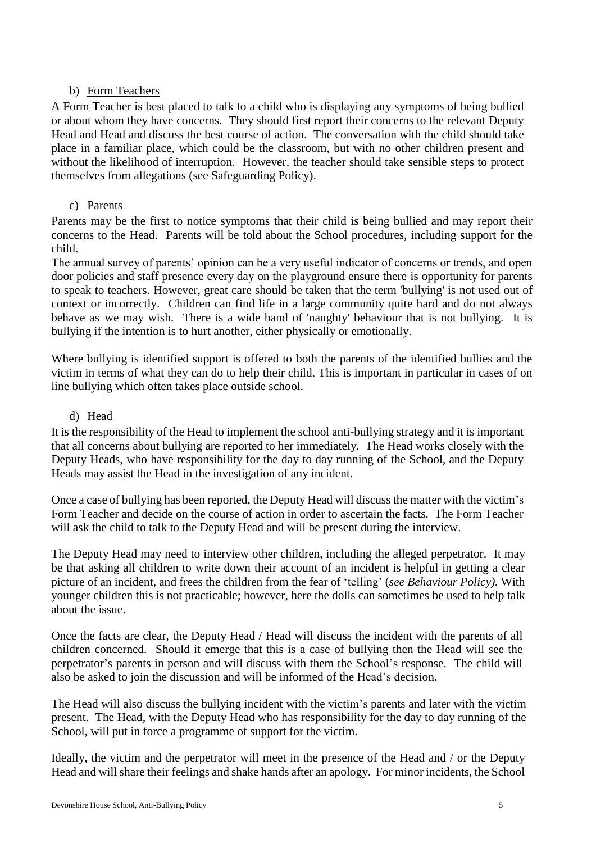# b) Form Teachers

<span id="page-4-0"></span>A Form Teacher is best placed to talk to a child who is displaying any symptoms of being bullied or about whom they have concerns. They should first report their concerns to the relevant Deputy Head and Head and discuss the best course of action. The conversation with the child should take place in a familiar place, which could be the classroom, but with no other children present and without the likelihood of interruption. However, the teacher should take sensible steps to protect themselves from allegations (see Safeguarding Policy).

#### c) Parents

<span id="page-4-1"></span>Parents may be the first to notice symptoms that their child is being bullied and may report their concerns to the Head. Parents will be told about the School procedures, including support for the child.

The annual survey of parents' opinion can be a very useful indicator of concerns or trends, and open door policies and staff presence every day on the playground ensure there is opportunity for parents to speak to teachers. However, great care should be taken that the term 'bullying' is not used out of context or incorrectly. Children can find life in a large community quite hard and do not always behave as we may wish. There is a wide band of 'naughty' behaviour that is not bullying. It is bullying if the intention is to hurt another, either physically or emotionally.

Where bullying is identified support is offered to both the parents of the identified bullies and the victim in terms of what they can do to help their child. This is important in particular in cases of on line bullying which often takes place outside school.

#### d) Head

<span id="page-4-2"></span>It is the responsibility of the Head to implement the school anti-bullying strategy and it is important that all concerns about bullying are reported to her immediately. The Head works closely with the Deputy Heads, who have responsibility for the day to day running of the School, and the Deputy Heads may assist the Head in the investigation of any incident.

Once a case of bullying has been reported, the Deputy Head will discuss the matter with the victim's Form Teacher and decide on the course of action in order to ascertain the facts. The Form Teacher will ask the child to talk to the Deputy Head and will be present during the interview.

The Deputy Head may need to interview other children, including the alleged perpetrator. It may be that asking all children to write down their account of an incident is helpful in getting a clear picture of an incident, and frees the children from the fear of 'telling' (*see Behaviour Policy).* With younger children this is not practicable; however, here the dolls can sometimes be used to help talk about the issue.

Once the facts are clear, the Deputy Head / Head will discuss the incident with the parents of all children concerned. Should it emerge that this is a case of bullying then the Head will see the perpetrator's parents in person and will discuss with them the School's response. The child will also be asked to join the discussion and will be informed of the Head's decision.

The Head will also discuss the bullying incident with the victim's parents and later with the victim present. The Head, with the Deputy Head who has responsibility for the day to day running of the School, will put in force a programme of support for the victim.

Ideally, the victim and the perpetrator will meet in the presence of the Head and / or the Deputy Head and will share their feelings and shake hands after an apology. For minor incidents, the School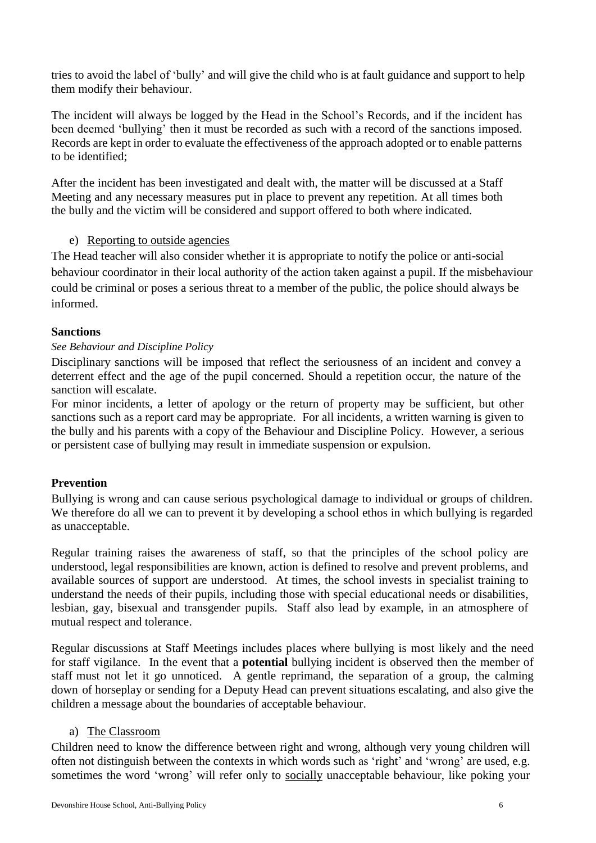tries to avoid the label of 'bully' and will give the child who is at fault guidance and support to help them modify their behaviour.

The incident will always be logged by the Head in the School's Records, and if the incident has been deemed 'bullying' then it must be recorded as such with a record of the sanctions imposed. Records are kept in order to evaluate the effectiveness of the approach adopted or to enable patterns to be identified;

After the incident has been investigated and dealt with, the matter will be discussed at a Staff Meeting and any necessary measures put in place to prevent any repetition. At all times both the bully and the victim will be considered and support offered to both where indicated.

#### e) Reporting to outside agencies

<span id="page-5-0"></span>The Head teacher will also consider whether it is appropriate to notify the police or anti-social behaviour coordinator in their local authority of the action taken against a pupil. If the misbehaviour could be criminal or poses a serious threat to a member of the public, the police should always be informed.

#### <span id="page-5-1"></span>**Sanctions**

#### *See Behaviour and Discipline Policy*

Disciplinary sanctions will be imposed that reflect the seriousness of an incident and convey a deterrent effect and the age of the pupil concerned. Should a repetition occur, the nature of the sanction will escalate.

For minor incidents, a letter of apology or the return of property may be sufficient, but other sanctions such as a report card may be appropriate. For all incidents, a written warning is given to the bully and his parents with a copy of the Behaviour and Discipline Policy. However, a serious or persistent case of bullying may result in immediate suspension or expulsion.

# <span id="page-5-2"></span>**Prevention**

Bullying is wrong and can cause serious psychological damage to individual or groups of children. We therefore do all we can to prevent it by developing a school ethos in which bullying is regarded as unacceptable.

Regular training raises the awareness of staff, so that the principles of the school policy are understood, legal responsibilities are known, action is defined to resolve and prevent problems, and available sources of support are understood. At times, the school invests in specialist training to understand the needs of their pupils, including those with special educational needs or disabilities, lesbian, gay, bisexual and transgender pupils. Staff also lead by example, in an atmosphere of mutual respect and tolerance.

Regular discussions at Staff Meetings includes places where bullying is most likely and the need for staff vigilance. In the event that a **potential** bullying incident is observed then the member of staff must not let it go unnoticed. A gentle reprimand, the separation of a group, the calming down of horseplay or sending for a Deputy Head can prevent situations escalating, and also give the children a message about the boundaries of acceptable behaviour.

#### a) The Classroom

<span id="page-5-3"></span>Children need to know the difference between right and wrong, although very young children will often not distinguish between the contexts in which words such as 'right' and 'wrong' are used, e.g. sometimes the word 'wrong' will refer only to socially unacceptable behaviour, like poking your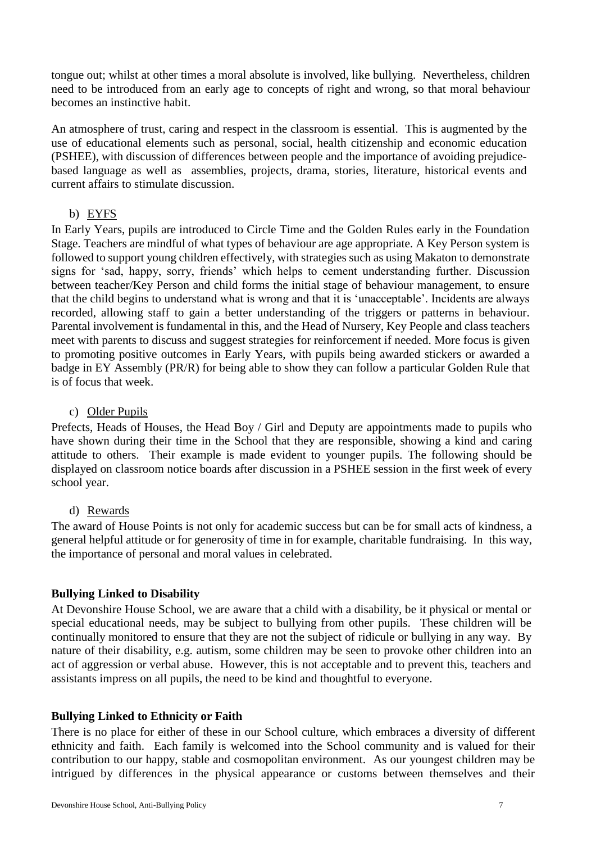tongue out; whilst at other times a moral absolute is involved, like bullying. Nevertheless, children need to be introduced from an early age to concepts of right and wrong, so that moral behaviour becomes an instinctive habit.

An atmosphere of trust, caring and respect in the classroom is essential. This is augmented by the use of educational elements such as personal, social, health citizenship and economic education (PSHEE), with discussion of differences between people and the importance of avoiding prejudicebased language as well as assemblies, projects, drama, stories, literature, historical events and current affairs to stimulate discussion.

#### b) EYFS

<span id="page-6-0"></span>In Early Years, pupils are introduced to Circle Time and the Golden Rules early in the Foundation Stage. Teachers are mindful of what types of behaviour are age appropriate. A Key Person system is followed to support young children effectively, with strategies such as using Makaton to demonstrate signs for 'sad, happy, sorry, friends' which helps to cement understanding further. Discussion between teacher/Key Person and child forms the initial stage of behaviour management, to ensure that the child begins to understand what is wrong and that it is 'unacceptable'. Incidents are always recorded, allowing staff to gain a better understanding of the triggers or patterns in behaviour. Parental involvement is fundamental in this, and the Head of Nursery, Key People and class teachers meet with parents to discuss and suggest strategies for reinforcement if needed. More focus is given to promoting positive outcomes in Early Years, with pupils being awarded stickers or awarded a badge in EY Assembly (PR/R) for being able to show they can follow a particular Golden Rule that is of focus that week.

#### c) Older Pupils

<span id="page-6-1"></span>Prefects, Heads of Houses, the Head Boy / Girl and Deputy are appointments made to pupils who have shown during their time in the School that they are responsible, showing a kind and caring attitude to others. Their example is made evident to younger pupils. The following should be displayed on classroom notice boards after discussion in a PSHEE session in the first week of every school year.

#### d) Rewards

<span id="page-6-2"></span>The award of House Points is not only for academic success but can be for small acts of kindness, a general helpful attitude or for generosity of time in for example, charitable fundraising. In this way, the importance of personal and moral values in celebrated.

# <span id="page-6-3"></span>**Bullying Linked to Disability**

At Devonshire House School, we are aware that a child with a disability, be it physical or mental or special educational needs, may be subject to bullying from other pupils. These children will be continually monitored to ensure that they are not the subject of ridicule or bullying in any way. By nature of their disability, e.g. autism, some children may be seen to provoke other children into an act of aggression or verbal abuse. However, this is not acceptable and to prevent this, teachers and assistants impress on all pupils, the need to be kind and thoughtful to everyone.

# <span id="page-6-4"></span>**Bullying Linked to Ethnicity or Faith**

There is no place for either of these in our School culture, which embraces a diversity of different ethnicity and faith. Each family is welcomed into the School community and is valued for their contribution to our happy, stable and cosmopolitan environment. As our youngest children may be intrigued by differences in the physical appearance or customs between themselves and their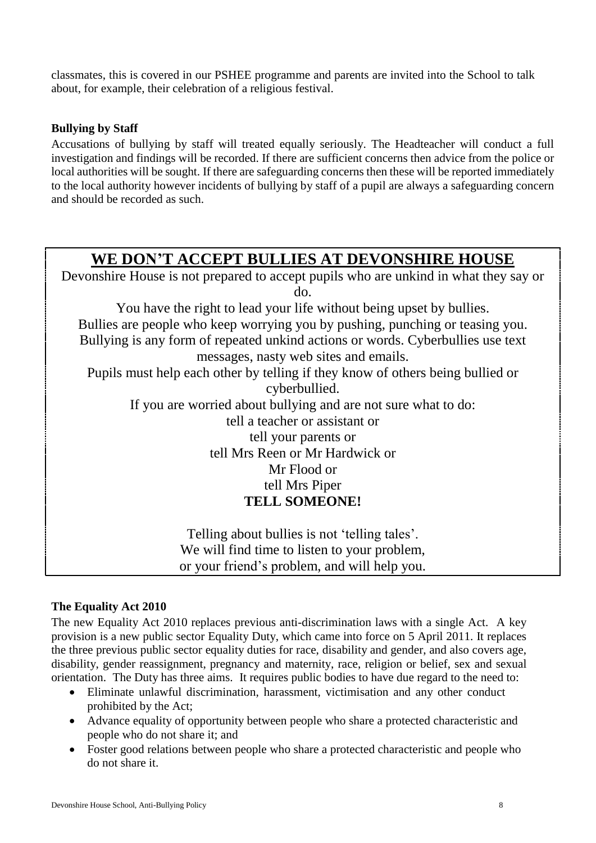classmates, this is covered in our PSHEE programme and parents are invited into the School to talk about, for example, their celebration of a religious festival.

# <span id="page-7-0"></span>**Bullying by Staff**

Accusations of bullying by staff will treated equally seriously. The Headteacher will conduct a full investigation and findings will be recorded. If there are sufficient concerns then advice from the police or local authorities will be sought. If there are safeguarding concerns then these will be reported immediately to the local authority however incidents of bullying by staff of a pupil are always a safeguarding concern and should be recorded as such.

# **WE DON'T ACCEPT BULLIES AT DEVONSHIRE HOUSE**

Devonshire House is not prepared to accept pupils who are unkind in what they say or do. You have the right to lead your life without being upset by bullies. Bullies are people who keep worrying you by pushing, punching or teasing you. Bullying is any form of repeated unkind actions or words. Cyberbullies use text messages, nasty web sites and emails. Pupils must help each other by telling if they know of others being bullied or cyberbullied. If you are worried about bullying and are not sure what to do: tell a teacher or assistant or tell your parents or tell Mrs Reen or Mr Hardwick or Mr Flood or tell Mrs Piper **TELL SOMEONE!** Telling about bullies is not 'telling tales'. We will find time to listen to your problem, or your friend's problem, and will help you.

# <span id="page-7-1"></span>**The Equality Act 2010**

The new Equality Act 2010 replaces previous anti-discrimination laws with a single Act. A key provision is a new public sector Equality Duty, which came into force on 5 April 2011. It replaces the three previous public sector equality duties for race, disability and gender, and also covers age, disability, gender reassignment, pregnancy and maternity, race, religion or belief, sex and sexual orientation. The Duty has three aims. It requires public bodies to have due regard to the need to:

- Eliminate unlawful discrimination, harassment, victimisation and any other conduct prohibited by the Act;
- Advance equality of opportunity between people who share a protected characteristic and people who do not share it; and
- Foster good relations between people who share a protected characteristic and people who do not share it.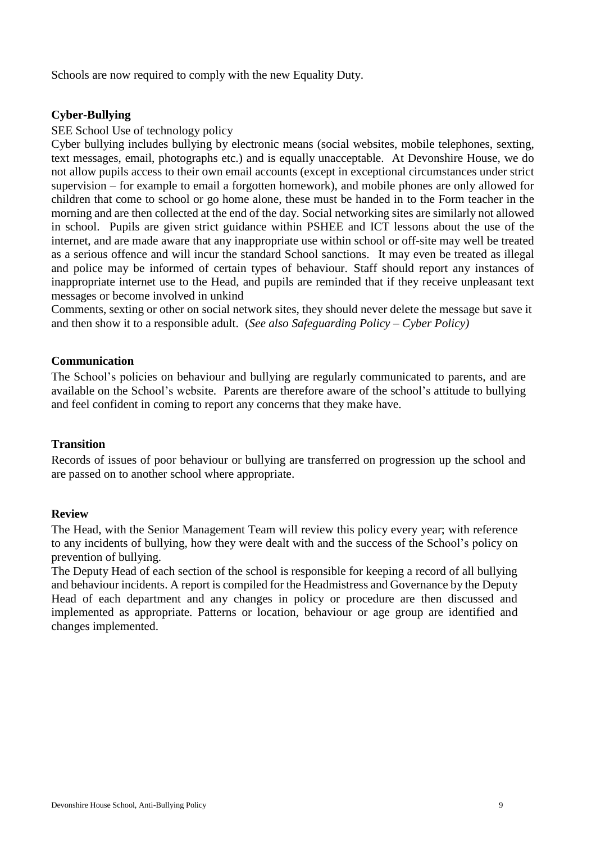Schools are now required to comply with the new Equality Duty.

#### <span id="page-8-0"></span>**Cyber-Bullying**

#### SEE School Use of technology policy

Cyber bullying includes bullying by electronic means (social websites, mobile telephones, sexting, text messages, email, photographs etc.) and is equally unacceptable. At Devonshire House, we do not allow pupils access to their own email accounts (except in exceptional circumstances under strict supervision – for example to email a forgotten homework), and mobile phones are only allowed for children that come to school or go home alone, these must be handed in to the Form teacher in the morning and are then collected at the end of the day. Social networking sites are similarly not allowed in school. Pupils are given strict guidance within PSHEE and ICT lessons about the use of the internet, and are made aware that any inappropriate use within school or off-site may well be treated as a serious offence and will incur the standard School sanctions. It may even be treated as illegal and police may be informed of certain types of behaviour. Staff should report any instances of inappropriate internet use to the Head, and pupils are reminded that if they receive unpleasant text messages or become involved in unkind

Comments, sexting or other on social network sites, they should never delete the message but save it and then show it to a responsible adult. (*See also Safeguarding Policy – Cyber Policy)* 

#### <span id="page-8-1"></span>**Communication**

The School's policies on behaviour and bullying are regularly communicated to parents, and are available on the School's website. Parents are therefore aware of the school's attitude to bullying and feel confident in coming to report any concerns that they make have.

#### <span id="page-8-2"></span>**Transition**

Records of issues of poor behaviour or bullying are transferred on progression up the school and are passed on to another school where appropriate.

#### <span id="page-8-3"></span>**Review**

The Head, with the Senior Management Team will review this policy every year; with reference to any incidents of bullying, how they were dealt with and the success of the School's policy on prevention of bullying.

The Deputy Head of each section of the school is responsible for keeping a record of all bullying and behaviour incidents. A report is compiled for the Headmistress and Governance by the Deputy Head of each department and any changes in policy or procedure are then discussed and implemented as appropriate. Patterns or location, behaviour or age group are identified and changes implemented.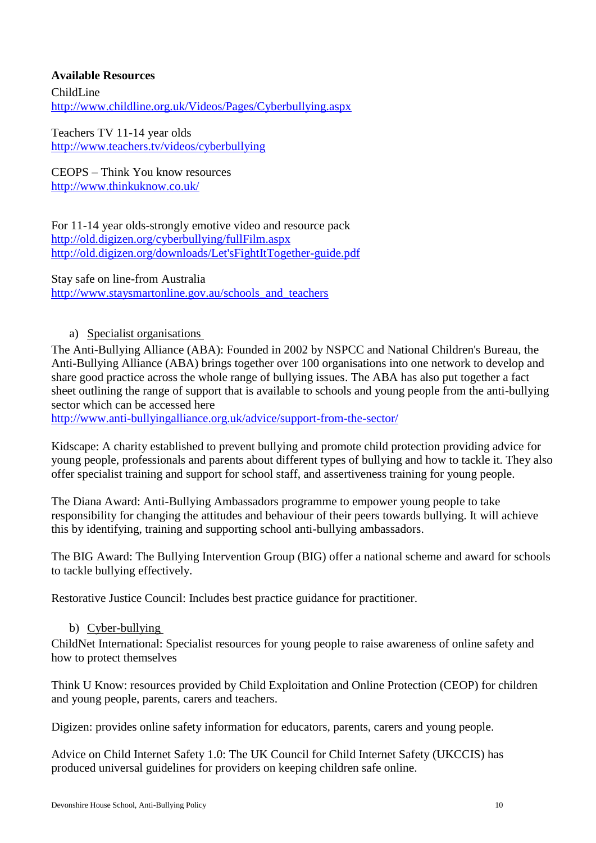#### <span id="page-9-0"></span>**Available Resources**

ChildLine <http://www.childline.org.uk/Videos/Pages/Cyberbullying.aspx>

Teachers TV 11-14 year olds <http://www.teachers.tv/videos/cyberbullying>

CEOPS – Think You know resources http://www.thinkuknow.co.uk/

For 11-14 year olds-strongly emotive video and resource pack <http://old.digizen.org/cyberbullying/fullFilm.aspx> [http://old.digizen.org/downloads/Let'sFightItTogether-guide.pdf](http://old.digizen.org/downloads/Let)

Stay safe on line-from Australia [http://www.staysmartonline.gov.au/schools\\_and\\_teachers](http://www.staysmartonline.gov.au/schools_and_teachers)

#### a) Specialist organisations

<span id="page-9-1"></span>The Anti-Bullying Alliance (ABA): Founded in 2002 by NSPCC and National Children's Bureau, the Anti-Bullying Alliance (ABA) brings together over 100 organisations into one network to develop and share good practice across the whole range of bullying issues. The ABA has also put together a fact sheet outlining the range of support that is available to schools and young people from the anti-bullying sector which can be accessed here

<http://www.anti-bullyingalliance.org.uk/advice/support-from-the-sector/>

Kidscape: A charity established to prevent bullying and promote child protection providing advice for young people, professionals and parents about different types of bullying and how to tackle it. They also offer specialist training and support for school staff, and assertiveness training for young people.

The Diana Award: Anti-Bullying Ambassadors programme to empower young people to take responsibility for changing the attitudes and behaviour of their peers towards bullying. It will achieve this by identifying, training and supporting school anti-bullying ambassadors.

The BIG Award: The Bullying Intervention Group (BIG) offer a national scheme and award for schools to tackle bullying effectively.

Restorative Justice Council: Includes best practice guidance for practitioner.

#### b) Cyber-bullying

<span id="page-9-2"></span>ChildNet International: Specialist resources for young people to raise awareness of online safety and how to protect themselves

Think U Know: resources provided by Child Exploitation and Online Protection (CEOP) for children and young people, parents, carers and teachers.

Digizen: provides online safety information for educators, parents, carers and young people.

Advice on Child Internet Safety 1.0: The UK Council for Child Internet Safety (UKCCIS) has produced universal guidelines for providers on keeping children safe online.